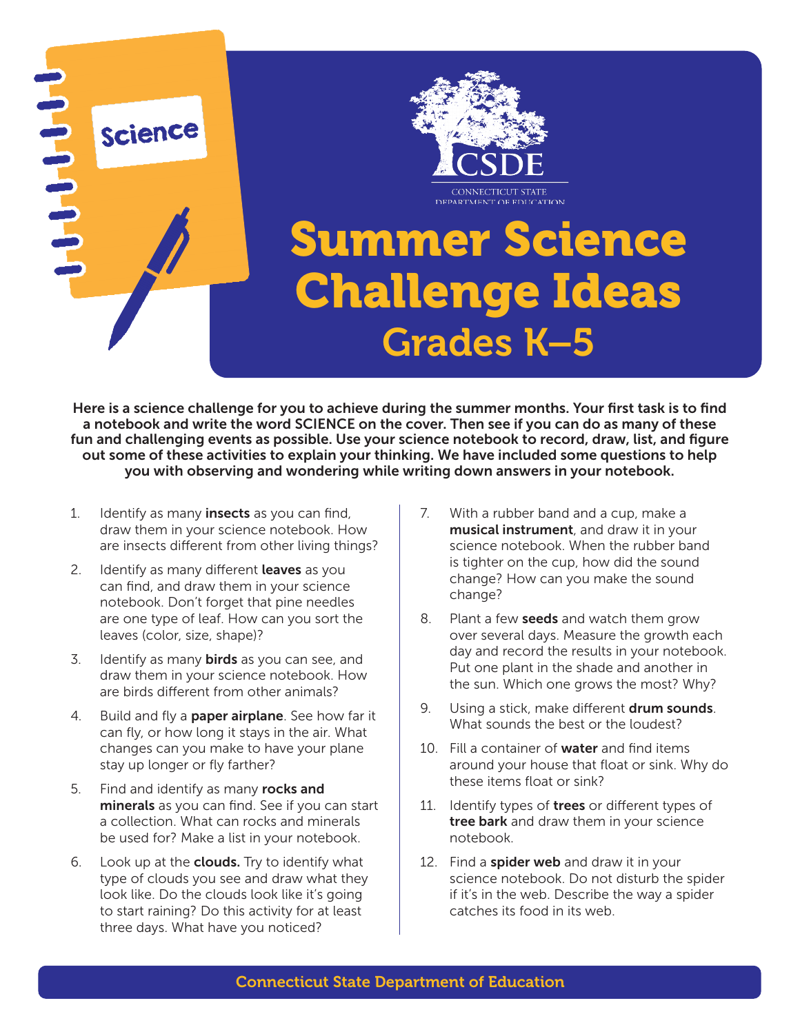

Here is a science challenge for you to achieve during the summer months. Your first task is to find a notebook and write the word SCIENCE on the cover. Then see if you can do as many of these fun and challenging events as possible. Use your science notebook to record, draw, list, and figure out some of these activities to explain your thinking. We have included some questions to help you with observing and wondering while writing down answers in your notebook.

- 1. Identify as many **insects** as you can find, draw them in your science notebook. How are insects different from other living things?
- 2. Identify as many different **leaves** as you can find, and draw them in your science notebook. Don't forget that pine needles are one type of leaf. How can you sort the leaves (color, size, shape)?
- 3. Identify as many **birds** as you can see, and draw them in your science notebook. How are birds different from other animals?
- 4. Build and fly a **paper airplane**. See how far it can fly, or how long it stays in the air. What changes can you make to have your plane stay up longer or fly farther?
- 5. Find and identify as many rocks and minerals as you can find. See if you can start a collection. What can rocks and minerals be used for? Make a list in your notebook.
- 6. Look up at the **clouds.** Try to identify what type of clouds you see and draw what they look like. Do the clouds look like it's going to start raining? Do this activity for at least three days. What have you noticed?
- 7. With a rubber band and a cup, make a musical instrument, and draw it in your science notebook. When the rubber band is tighter on the cup, how did the sound change? How can you make the sound change?
- 8. Plant a few **seeds** and watch them grow over several days. Measure the growth each day and record the results in your notebook. Put one plant in the shade and another in the sun. Which one grows the most? Why?
- 9. Using a stick, make different **drum sounds**. What sounds the best or the loudest?
- 10. Fill a container of **water** and find items around your house that float or sink. Why do these items float or sink?
- 11. Identify types of trees or different types of tree bark and draw them in your science notebook.
- 12. Find a spider web and draw it in your science notebook. Do not disturb the spider if it's in the web. Describe the way a spider catches its food in its web.